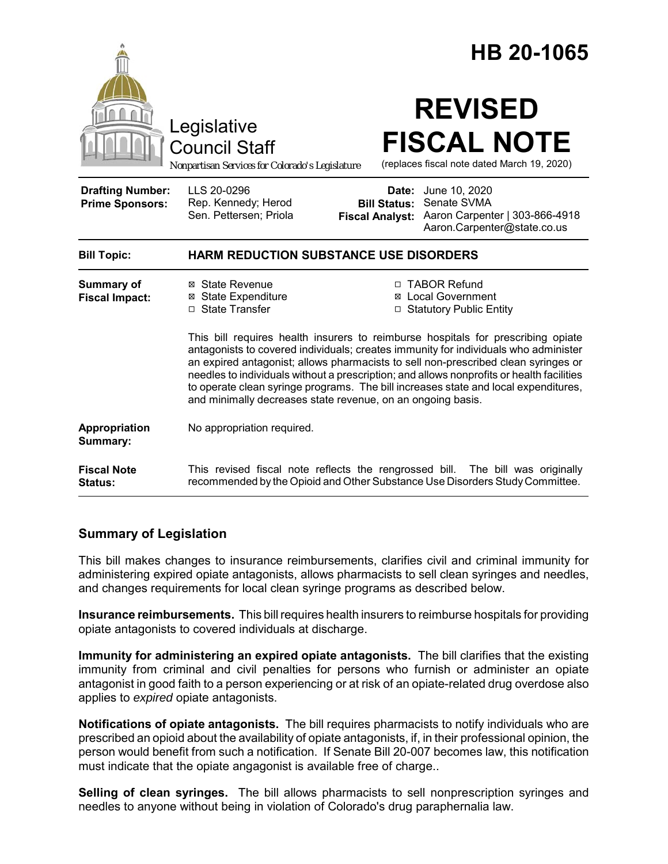|                                                   |                                                                                                                                                                                                                                                                                                                                                                                                                              |                     | HB 20-1065                                                                                                                                            |
|---------------------------------------------------|------------------------------------------------------------------------------------------------------------------------------------------------------------------------------------------------------------------------------------------------------------------------------------------------------------------------------------------------------------------------------------------------------------------------------|---------------------|-------------------------------------------------------------------------------------------------------------------------------------------------------|
|                                                   | Legislative<br><b>Council Staff</b><br>Nonpartisan Services for Colorado's Legislature                                                                                                                                                                                                                                                                                                                                       |                     | <b>REVISED</b><br><b>FISCAL NOTE</b><br>(replaces fiscal note dated March 19, 2020)                                                                   |
| <b>Drafting Number:</b><br><b>Prime Sponsors:</b> | LLS 20-0296<br>Rep. Kennedy; Herod<br>Sen. Pettersen; Priola                                                                                                                                                                                                                                                                                                                                                                 | <b>Bill Status:</b> | <b>Date:</b> June 10, 2020<br>Senate SVMA<br>Fiscal Analyst: Aaron Carpenter   303-866-4918<br>Aaron.Carpenter@state.co.us                            |
| <b>Bill Topic:</b>                                | <b>HARM REDUCTION SUBSTANCE USE DISORDERS</b>                                                                                                                                                                                                                                                                                                                                                                                |                     |                                                                                                                                                       |
| <b>Summary of</b><br><b>Fiscal Impact:</b>        | ⊠ State Revenue<br>⊠ State Expenditure<br>□ State Transfer                                                                                                                                                                                                                                                                                                                                                                   |                     | □ TABOR Refund<br>⊠ Local Government<br>□ Statutory Public Entity<br>This bill requires health insurers to reimburse hospitals for prescribing opiate |
|                                                   | antagonists to covered individuals; creates immunity for individuals who administer<br>an expired antagonist; allows pharmacists to sell non-prescribed clean syringes or<br>needles to individuals without a prescription; and allows nonprofits or health facilities<br>to operate clean syringe programs. The bill increases state and local expenditures,<br>and minimally decreases state revenue, on an ongoing basis. |                     |                                                                                                                                                       |
| Appropriation<br>Summary:                         | No appropriation required.                                                                                                                                                                                                                                                                                                                                                                                                   |                     |                                                                                                                                                       |
| <b>Fiscal Note</b><br><b>Status:</b>              | This revised fiscal note reflects the rengrossed bill. The bill was originally<br>recommended by the Opioid and Other Substance Use Disorders Study Committee.                                                                                                                                                                                                                                                               |                     |                                                                                                                                                       |

### **Summary of Legislation**

This bill makes changes to insurance reimbursements, clarifies civil and criminal immunity for administering expired opiate antagonists, allows pharmacists to sell clean syringes and needles, and changes requirements for local clean syringe programs as described below.

**Insurance reimbursements.** This bill requires health insurers to reimburse hospitals for providing opiate antagonists to covered individuals at discharge.

**Immunity for administering an expired opiate antagonists.** The bill clarifies that the existing immunity from criminal and civil penalties for persons who furnish or administer an opiate antagonist in good faith to a person experiencing or at risk of an opiate-related drug overdose also applies to *expired* opiate antagonists.

**Notifications of opiate antagonists.** The bill requires pharmacists to notify individuals who are prescribed an opioid about the availability of opiate antagonists, if, in their professional opinion, the person would benefit from such a notification. If Senate Bill 20-007 becomes law, this notification must indicate that the opiate angagonist is available free of charge..

**Selling of clean syringes.** The bill allows pharmacists to sell nonprescription syringes and needles to anyone without being in violation of Colorado's drug paraphernalia law.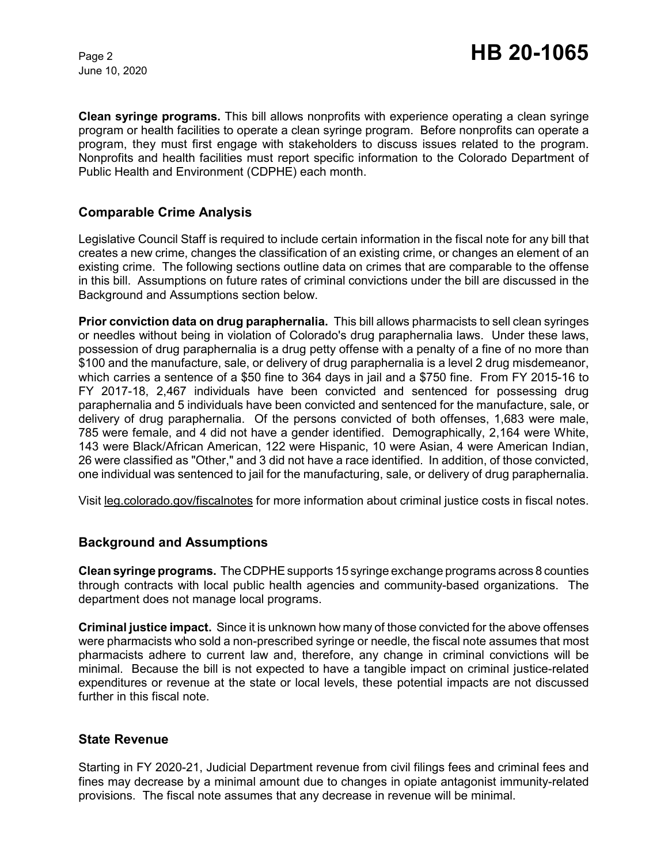June 10, 2020

**Clean syringe programs.** This bill allows nonprofits with experience operating a clean syringe program or health facilities to operate a clean syringe program. Before nonprofits can operate a program, they must first engage with stakeholders to discuss issues related to the program. Nonprofits and health facilities must report specific information to the Colorado Department of Public Health and Environment (CDPHE) each month.

## **Comparable Crime Analysis**

Legislative Council Staff is required to include certain information in the fiscal note for any bill that creates a new crime, changes the classification of an existing crime, or changes an element of an existing crime. The following sections outline data on crimes that are comparable to the offense in this bill. Assumptions on future rates of criminal convictions under the bill are discussed in the Background and Assumptions section below.

**Prior conviction data on drug paraphernalia.** This bill allows pharmacists to sell clean syringes or needles without being in violation of Colorado's drug paraphernalia laws. Under these laws, possession of drug paraphernalia is a drug petty offense with a penalty of a fine of no more than \$100 and the manufacture, sale, or delivery of drug paraphernalia is a level 2 drug misdemeanor, which carries a sentence of a \$50 fine to 364 days in jail and a \$750 fine. From FY 2015-16 to FY 2017-18, 2,467 individuals have been convicted and sentenced for possessing drug paraphernalia and 5 individuals have been convicted and sentenced for the manufacture, sale, or delivery of drug paraphernalia. Of the persons convicted of both offenses, 1,683 were male, 785 were female, and 4 did not have a gender identified. Demographically, 2,164 were White, 143 were Black/African American, 122 were Hispanic, 10 were Asian, 4 were American Indian, 26 were classified as "Other," and 3 did not have a race identified. In addition, of those convicted, one individual was sentenced to jail for the manufacturing, sale, or delivery of drug paraphernalia.

Visit leg.colorado.gov/fiscalnotes for more information about criminal justice costs in fiscal notes.

### **Background and Assumptions**

**Clean syringe programs.** The CDPHEsupports 15 syringe exchange programs across 8 counties through contracts with local public health agencies and community-based organizations. The department does not manage local programs.

**Criminal justice impact.** Since it is unknown how many of those convicted for the above offenses were pharmacists who sold a non-prescribed syringe or needle, the fiscal note assumes that most pharmacists adhere to current law and, therefore, any change in criminal convictions will be minimal. Because the bill is not expected to have a tangible impact on criminal justice-related expenditures or revenue at the state or local levels, these potential impacts are not discussed further in this fiscal note.

#### **State Revenue**

Starting in FY 2020-21, Judicial Department revenue from civil filings fees and criminal fees and fines may decrease by a minimal amount due to changes in opiate antagonist immunity-related provisions. The fiscal note assumes that any decrease in revenue will be minimal.